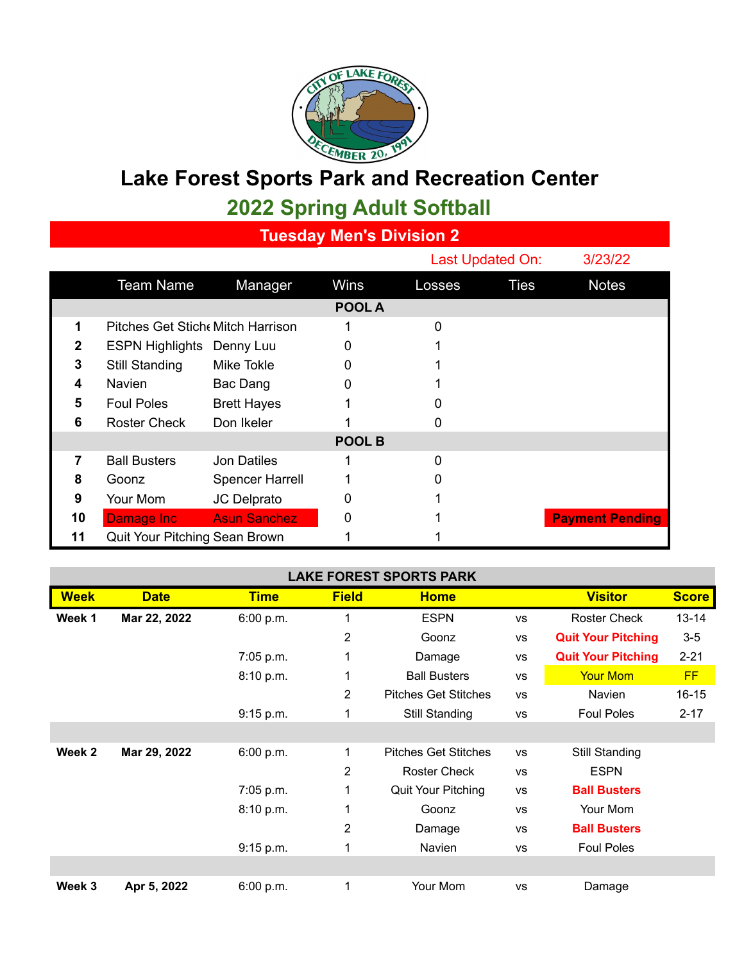

## **Lake Forest Sports Park and Recreation Center**

**2022 Spring Adult Softball**

**Tuesday Men's Division 2**

|    |                                  |                        |               |        | Last Updated On: | 3/23/22                |
|----|----------------------------------|------------------------|---------------|--------|------------------|------------------------|
|    | <b>Team Name</b>                 | Manager                | Wins          | Losses | <b>Ties</b>      | <b>Notes</b>           |
|    |                                  |                        | POOL A        |        |                  |                        |
| 1  | Pitches Get Stich Mitch Harrison |                        |               | 0      |                  |                        |
| 2  | <b>ESPN Highlights Denny Luu</b> |                        | 0             |        |                  |                        |
| 3  | <b>Still Standing</b>            | <b>Mike Tokle</b>      |               |        |                  |                        |
| 4  | Navien                           | Bac Dang               | 0             |        |                  |                        |
| 5  | <b>Foul Poles</b>                | <b>Brett Hayes</b>     |               |        |                  |                        |
| 6  | <b>Roster Check</b>              | Don Ikeler             |               | 0      |                  |                        |
|    |                                  |                        | <b>POOL B</b> |        |                  |                        |
| 7  | <b>Ball Busters</b>              | <b>Jon Datiles</b>     |               | 0      |                  |                        |
| 8  | Goonz                            | <b>Spencer Harrell</b> |               | 0      |                  |                        |
| 9  | Your Mom                         | JC Delprato            |               |        |                  |                        |
| 10 | Damage Inc                       | <b>Asun Sanchez</b>    | 0             |        |                  | <b>Payment Pending</b> |
| 11 | Quit Your Pitching Sean Brown    |                        |               |        |                  |                        |

| <b>LAKE FOREST SPORTS PARK</b> |              |             |                |                             |           |                           |              |  |  |  |
|--------------------------------|--------------|-------------|----------------|-----------------------------|-----------|---------------------------|--------------|--|--|--|
| <b>Week</b>                    | <b>Date</b>  | <b>Time</b> | <b>Field</b>   | <b>Home</b>                 |           | <b>Visitor</b>            | <b>Score</b> |  |  |  |
| Week 1                         | Mar 22, 2022 | 6:00 p.m.   | 1              | <b>ESPN</b>                 | <b>VS</b> | <b>Roster Check</b>       | $13 - 14$    |  |  |  |
|                                |              |             | $\overline{2}$ | Goonz                       | <b>VS</b> | <b>Quit Your Pitching</b> | $3-5$        |  |  |  |
|                                |              | 7:05 p.m.   | 1              | Damage                      | <b>VS</b> | <b>Quit Your Pitching</b> | $2 - 21$     |  |  |  |
|                                |              | 8:10 p.m.   | 1              | <b>Ball Busters</b>         | <b>VS</b> | <b>Your Mom</b>           | <b>FF</b>    |  |  |  |
|                                |              |             | 2              | <b>Pitches Get Stitches</b> | <b>VS</b> | <b>Navien</b>             | $16 - 15$    |  |  |  |
|                                |              | 9:15 p.m.   | 1              | Still Standing              | <b>VS</b> | <b>Foul Poles</b>         | $2 - 17$     |  |  |  |
|                                |              |             |                |                             |           |                           |              |  |  |  |
| Week 2                         | Mar 29, 2022 | 6:00 p.m.   | 1              | <b>Pitches Get Stitches</b> | <b>VS</b> | Still Standing            |              |  |  |  |
|                                |              |             | $\overline{2}$ | <b>Roster Check</b>         | <b>VS</b> | <b>ESPN</b>               |              |  |  |  |
|                                |              | 7:05 p.m.   | 1              | Quit Your Pitching          | <b>VS</b> | <b>Ball Busters</b>       |              |  |  |  |
|                                |              | 8:10 p.m.   | 1              | Goonz                       | <b>VS</b> | Your Mom                  |              |  |  |  |
|                                |              |             | $\overline{2}$ | Damage                      | <b>VS</b> | <b>Ball Busters</b>       |              |  |  |  |
|                                |              | 9:15 p.m.   | 1              | Navien                      | <b>VS</b> | <b>Foul Poles</b>         |              |  |  |  |
|                                |              |             |                |                             |           |                           |              |  |  |  |
| Week 3                         | Apr 5, 2022  | 6:00 p.m.   | 1              | Your Mom                    | <b>VS</b> | Damage                    |              |  |  |  |